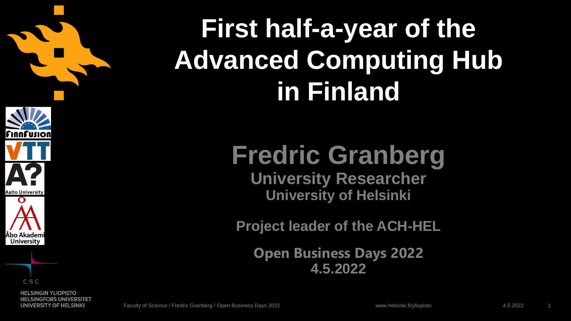

C<sub>S</sub>C

**HELSINGIN YLIOPISTO HELSINGFORS UNIVERSITET** UNIVERSITY OF HELSINKI

# **First half-a-year of the Advanced Computing Hub in Finland**

# **Fredric Granberg**

**University Researcher University of Helsinki**

**Project leader of the ACH-HEL**

**Open Business Days 2022 4.5.2022**

www.helsinki.fi/yliopisto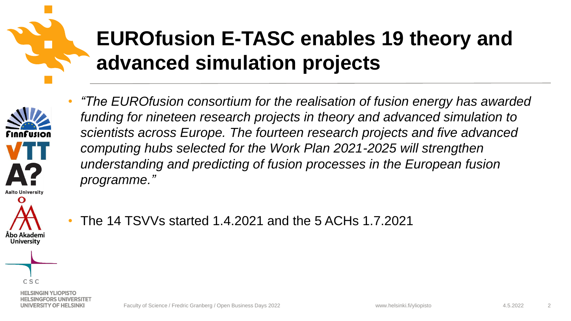

## **EUROfusion E-TASC enables 19 theory and advanced simulation projects**



• *"The EUROfusion consortium for the realisation of fusion energy has awarded funding for nineteen research projects in theory and advanced simulation to scientists across Europe. The fourteen research projects and five advanced computing hubs selected for the Work Plan 2021-2025 will strengthen understanding and predicting of fusion processes in the European fusion programme."*

• The 14 TSVVs started 1.4.2021 and the 5 ACHs 1.7.2021



UNIVERSITY OF HELSINKI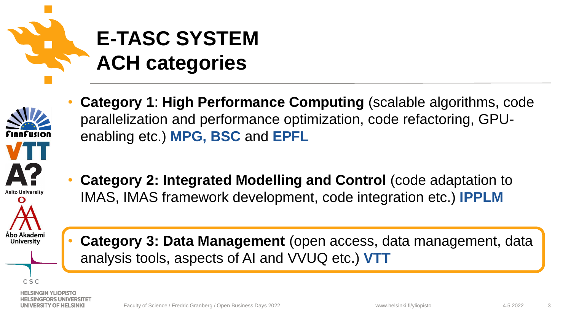



- **Category 1**: **High Performance Computing** (scalable algorithms, code parallelization and performance optimization, code refactoring, GPUenabling etc.) **MPG, BSC** and **EPFL**
- **Category 2: Integrated Modelling and Control** (code adaptation to IMAS, IMAS framework development, code integration etc.) **IPPLM**



• **Category 3: Data Management** (open access, data management, data analysis tools, aspects of AI and VVUQ etc.) **VTT**

C S C

UNIVERSITY OF HELSINKI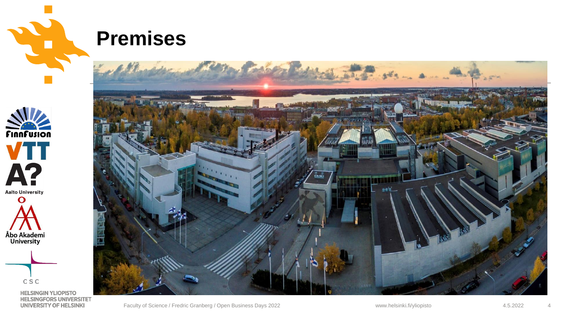

#### **Premises**



CSC

**HELSINGIN YLIOPISTO HELSINGFORS UNIVERSITET** UNIVERSITY OF HELSINKI

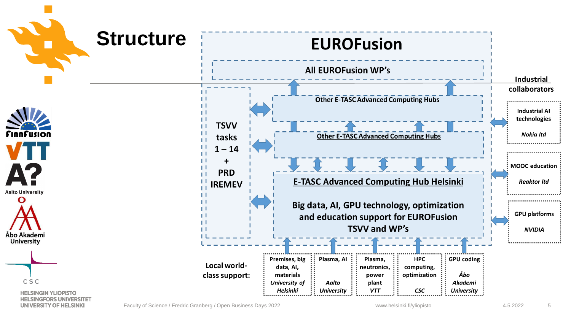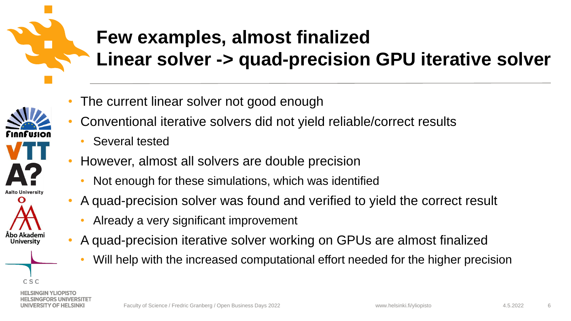

#### **Few examples, almost finalized Linear solver -> quad-precision GPU iterative solver**

- The current linear solver not good enough
- Conventional iterative solvers did not yield reliable/correct results
	- Several tested
- However, almost all solvers are double precision
	- Not enough for these simulations, which was identified
- A quad-precision solver was found and verified to yield the correct result
	- Already a very significant improvement
- A quad-precision iterative solver working on GPUs are almost finalized
	- Will help with the increased computational effort needed for the higher precision

CSC

University

UNIVERSITY OF HELSINKI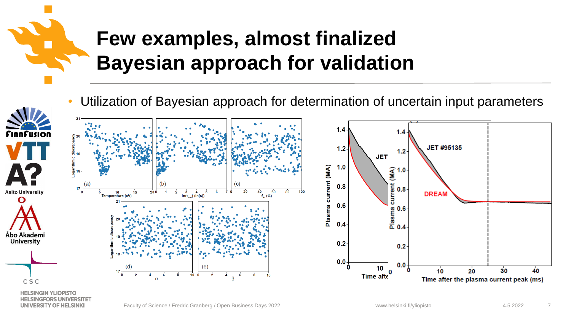# **Few examples, almost finalized Bayesian approach for validation**

Utilization of Bayesian approach for determination of uncertain input parameters



**HELSINGFORS UNIVERSITET** UNIVERSITY OF HELSINKI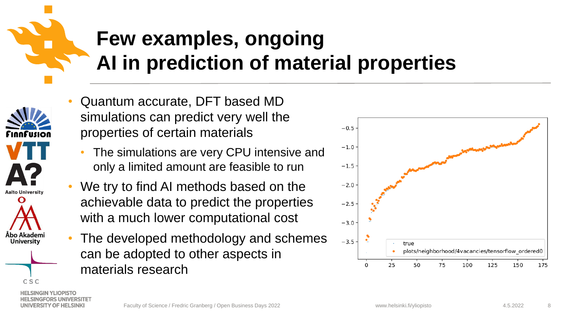## **Few examples, ongoing AI in prediction of material properties**

- Quantum accurate, DFT based MD simulations can predict very well the properties of certain materials
	- The simulations are very CPU intensive and only a limited amount are feasible to run
- We try to find AI methods based on the achievable data to predict the properties with a much lower computational cost
	- The developed methodology and schemes can be adopted to other aspects in materials research



UNIVERSITY OF HELSINKI

Aalto Universit<sup>.</sup>

Abo Akademi

**University** 

C S C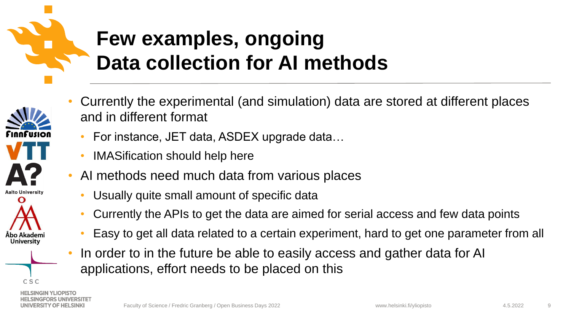#### **Few examples, ongoing Data collection for AI methods**

- Currently the experimental (and simulation) data are stored at different places and in different format
	- For instance, JET data, ASDEX upgrade data…
	- IMASification should help here
- AI methods need much data from various places
	- Usually quite small amount of specific data
	- Currently the APIs to get the data are aimed for serial access and few data points
	- Easy to get all data related to a certain experiment, hard to get one parameter from all
- In order to in the future be able to easily access and gather data for AI applications, effort needs to be placed on this

UNIVERSITY OF HELSINKI

**University** 

CSC